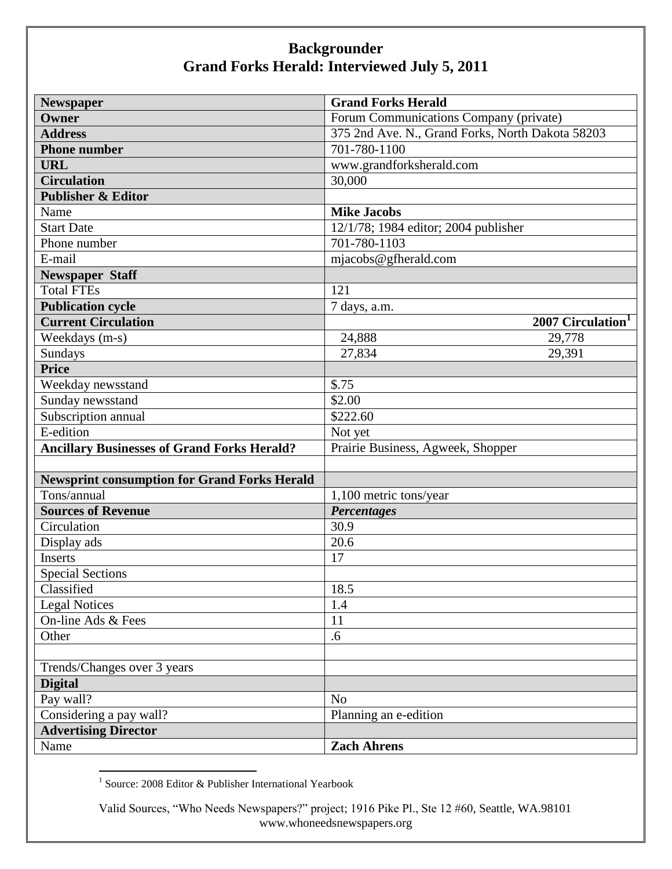| <b>Newspaper</b>                                    | <b>Grand Forks Herald</b>                        |
|-----------------------------------------------------|--------------------------------------------------|
| Owner                                               | Forum Communications Company (private)           |
| <b>Address</b>                                      | 375 2nd Ave. N., Grand Forks, North Dakota 58203 |
| <b>Phone number</b>                                 | 701-780-1100                                     |
| <b>URL</b>                                          | www.grandforksherald.com                         |
| <b>Circulation</b>                                  | 30,000                                           |
| <b>Publisher &amp; Editor</b>                       |                                                  |
| Name                                                | <b>Mike Jacobs</b>                               |
| <b>Start Date</b>                                   | 12/1/78; 1984 editor; 2004 publisher             |
| Phone number                                        | 701-780-1103                                     |
| E-mail                                              | mjacobs@gfherald.com                             |
| <b>Newspaper Staff</b>                              |                                                  |
| <b>Total FTEs</b>                                   | 121                                              |
| <b>Publication cycle</b>                            | 7 days, a.m.                                     |
| <b>Current Circulation</b>                          | 2007 Circulation <sup>1</sup>                    |
| Weekdays (m-s)                                      | 24,888<br>29,778                                 |
| Sundays                                             | 27,834<br>29,391                                 |
| <b>Price</b>                                        |                                                  |
| Weekday newsstand                                   | \$.75                                            |
| Sunday newsstand                                    | \$2.00                                           |
| Subscription annual                                 | \$222.60                                         |
| E-edition                                           | Not yet                                          |
| <b>Ancillary Businesses of Grand Forks Herald?</b>  | Prairie Business, Agweek, Shopper                |
|                                                     |                                                  |
| <b>Newsprint consumption for Grand Forks Herald</b> |                                                  |
| Tons/annual                                         | 1,100 metric tons/year                           |
| <b>Sources of Revenue</b>                           | <b>Percentages</b>                               |
| Circulation                                         | 30.9                                             |
| Display ads                                         | 20.6                                             |
| <b>Inserts</b>                                      | 17                                               |
| <b>Special Sections</b>                             |                                                  |
| Classified                                          | 18.5                                             |
| <b>Legal Notices</b>                                | 1.4                                              |
| On-line Ads & Fees                                  | 11                                               |
| Other                                               | .6                                               |
|                                                     |                                                  |
| Trends/Changes over 3 years                         |                                                  |
| <b>Digital</b>                                      |                                                  |
| Pay wall?                                           | N <sub>o</sub>                                   |
| Considering a pay wall?                             | Planning an e-edition                            |
| <b>Advertising Director</b>                         |                                                  |
| Name                                                | <b>Zach Ahrens</b>                               |

1 Source: 2008 Editor & Publisher International Yearbook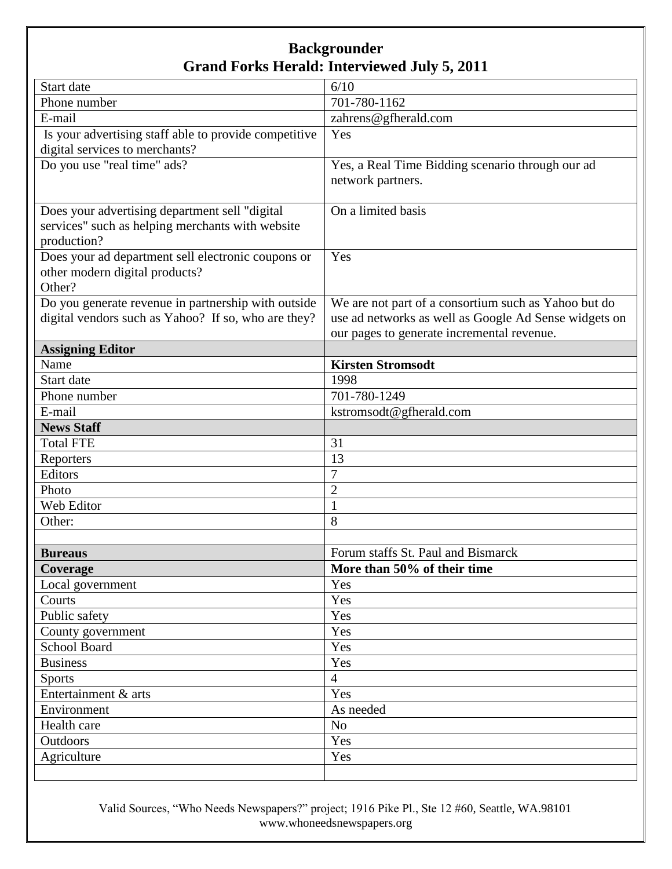| Start date                                                                                                        | 6/10                                                                                                                                                        |
|-------------------------------------------------------------------------------------------------------------------|-------------------------------------------------------------------------------------------------------------------------------------------------------------|
| Phone number                                                                                                      | 701-780-1162                                                                                                                                                |
| E-mail                                                                                                            | zahrens@gfherald.com                                                                                                                                        |
| Is your advertising staff able to provide competitive                                                             | Yes                                                                                                                                                         |
| digital services to merchants?                                                                                    |                                                                                                                                                             |
| Do you use "real time" ads?                                                                                       | Yes, a Real Time Bidding scenario through our ad<br>network partners.                                                                                       |
| Does your advertising department sell "digital<br>services" such as helping merchants with website<br>production? | On a limited basis                                                                                                                                          |
| Does your ad department sell electronic coupons or<br>other modern digital products?<br>Other?                    | Yes                                                                                                                                                         |
| Do you generate revenue in partnership with outside<br>digital vendors such as Yahoo? If so, who are they?        | We are not part of a consortium such as Yahoo but do<br>use ad networks as well as Google Ad Sense widgets on<br>our pages to generate incremental revenue. |
| <b>Assigning Editor</b>                                                                                           |                                                                                                                                                             |
| Name                                                                                                              | <b>Kirsten Stromsodt</b>                                                                                                                                    |
| Start date                                                                                                        | 1998                                                                                                                                                        |
| Phone number                                                                                                      | 701-780-1249                                                                                                                                                |
| E-mail                                                                                                            | kstromsodt@gfherald.com                                                                                                                                     |
| <b>News Staff</b>                                                                                                 |                                                                                                                                                             |
| <b>Total FTE</b>                                                                                                  | 31                                                                                                                                                          |
| Reporters                                                                                                         | 13                                                                                                                                                          |
| Editors                                                                                                           | $\overline{7}$                                                                                                                                              |
| Photo                                                                                                             | $\overline{2}$                                                                                                                                              |
| Web Editor                                                                                                        | $\mathbf{1}$                                                                                                                                                |
| Other:                                                                                                            | 8                                                                                                                                                           |
|                                                                                                                   |                                                                                                                                                             |
| <b>Bureaus</b>                                                                                                    | Forum staffs St. Paul and Bismarck                                                                                                                          |
| Coverage                                                                                                          | More than 50% of their time                                                                                                                                 |
| Local government                                                                                                  | Yes                                                                                                                                                         |
| Courts                                                                                                            | Yes                                                                                                                                                         |
| Public safety                                                                                                     | Yes                                                                                                                                                         |
| County government                                                                                                 | Yes                                                                                                                                                         |
| <b>School Board</b>                                                                                               | Yes                                                                                                                                                         |
| <b>Business</b>                                                                                                   | Yes                                                                                                                                                         |
| <b>Sports</b>                                                                                                     | $\overline{4}$                                                                                                                                              |
| Entertainment & arts                                                                                              | Yes                                                                                                                                                         |
| Environment                                                                                                       | As needed                                                                                                                                                   |
| Health care                                                                                                       | N <sub>o</sub>                                                                                                                                              |
| Outdoors                                                                                                          | Yes                                                                                                                                                         |
| Agriculture                                                                                                       | Yes                                                                                                                                                         |
|                                                                                                                   |                                                                                                                                                             |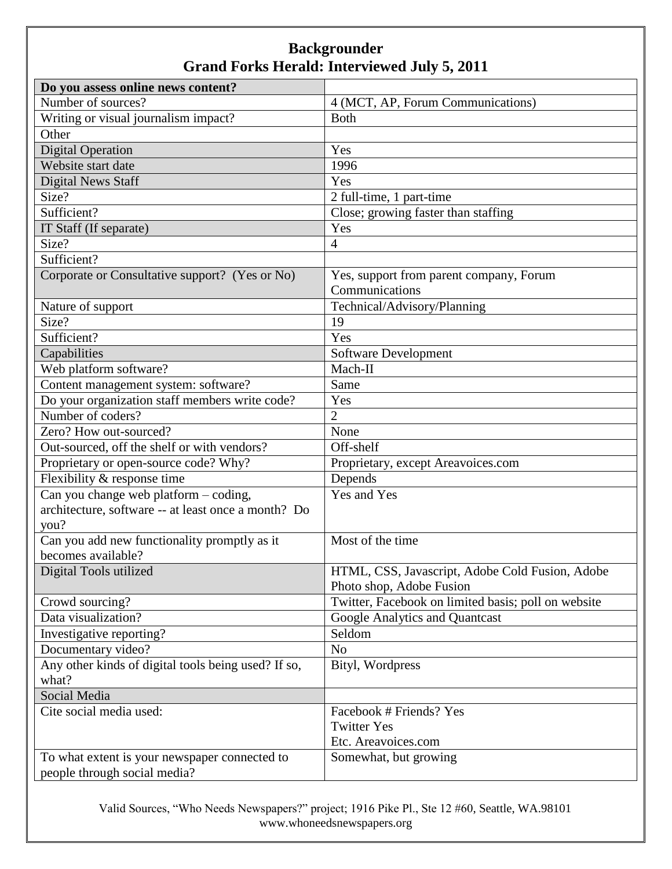| Do you assess online news content?                  |                                                     |
|-----------------------------------------------------|-----------------------------------------------------|
| Number of sources?                                  | 4 (MCT, AP, Forum Communications)                   |
| Writing or visual journalism impact?                | <b>Both</b>                                         |
| Other                                               |                                                     |
| <b>Digital Operation</b>                            | Yes                                                 |
| Website start date                                  | 1996                                                |
| <b>Digital News Staff</b>                           | Yes                                                 |
| Size?                                               | 2 full-time, 1 part-time                            |
| Sufficient?                                         | Close; growing faster than staffing                 |
| IT Staff (If separate)                              | Yes                                                 |
| Size?                                               | 4                                                   |
| Sufficient?                                         |                                                     |
| Corporate or Consultative support? (Yes or No)      | Yes, support from parent company, Forum             |
|                                                     | Communications                                      |
| Nature of support                                   | Technical/Advisory/Planning                         |
| Size?                                               | 19                                                  |
| Sufficient?                                         | Yes                                                 |
| Capabilities                                        | <b>Software Development</b>                         |
| Web platform software?                              | Mach-II                                             |
| Content management system: software?                | Same                                                |
| Do your organization staff members write code?      | Yes                                                 |
| Number of coders?                                   | $\overline{2}$                                      |
| Zero? How out-sourced?                              | None                                                |
| Out-sourced, off the shelf or with vendors?         | Off-shelf                                           |
| Proprietary or open-source code? Why?               | Proprietary, except Areavoices.com                  |
| Flexibility & response time                         | Depends                                             |
| Can you change web platform – coding,               | Yes and Yes                                         |
| architecture, software -- at least once a month? Do |                                                     |
| you?                                                |                                                     |
| Can you add new functionality promptly as it        | Most of the time                                    |
| becomes available?                                  |                                                     |
| Digital Tools utilized                              | HTML, CSS, Javascript, Adobe Cold Fusion, Adobe     |
|                                                     | Photo shop, Adobe Fusion                            |
| Crowd sourcing?                                     | Twitter, Facebook on limited basis; poll on website |
| Data visualization?                                 | Google Analytics and Quantcast                      |
| Investigative reporting?                            | Seldom                                              |
| Documentary video?                                  | N <sub>o</sub>                                      |
| Any other kinds of digital tools being used? If so, | Bityl, Wordpress                                    |
| what?                                               |                                                     |
| Social Media                                        |                                                     |
| Cite social media used:                             | Facebook # Friends? Yes                             |
|                                                     | <b>Twitter Yes</b>                                  |
|                                                     | Etc. Areavoices.com                                 |
| To what extent is your newspaper connected to       | Somewhat, but growing                               |
| people through social media?                        |                                                     |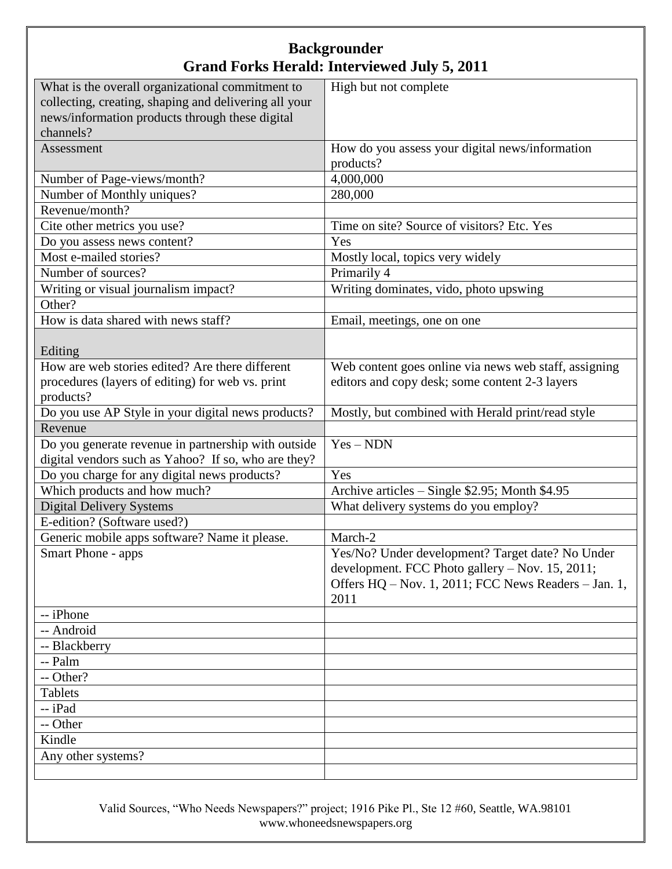| What is the overall organizational commitment to      | High but not complete                                 |
|-------------------------------------------------------|-------------------------------------------------------|
| collecting, creating, shaping and delivering all your |                                                       |
| news/information products through these digital       |                                                       |
| channels?                                             |                                                       |
| Assessment                                            | How do you assess your digital news/information       |
|                                                       | products?                                             |
| Number of Page-views/month?                           | 4,000,000                                             |
| Number of Monthly uniques?                            | 280,000                                               |
| Revenue/month?                                        |                                                       |
| Cite other metrics you use?                           | Time on site? Source of visitors? Etc. Yes            |
| Do you assess news content?                           | Yes                                                   |
| Most e-mailed stories?                                | Mostly local, topics very widely                      |
| Number of sources?                                    | Primarily 4                                           |
| Writing or visual journalism impact?                  | Writing dominates, vido, photo upswing                |
| Other?                                                |                                                       |
| How is data shared with news staff?                   | Email, meetings, one on one                           |
|                                                       |                                                       |
| Editing                                               |                                                       |
| How are web stories edited? Are there different       | Web content goes online via news web staff, assigning |
| procedures (layers of editing) for web vs. print      | editors and copy desk; some content 2-3 layers        |
| products?                                             |                                                       |
| Do you use AP Style in your digital news products?    | Mostly, but combined with Herald print/read style     |
| Revenue                                               |                                                       |
| Do you generate revenue in partnership with outside   | $Yes - NDN$                                           |
| digital vendors such as Yahoo? If so, who are they?   |                                                       |
| Do you charge for any digital news products?          | Yes                                                   |
| Which products and how much?                          | Archive articles - Single \$2.95; Month \$4.95        |
| <b>Digital Delivery Systems</b>                       | What delivery systems do you employ?                  |
| E-edition? (Software used?)                           |                                                       |
| Generic mobile apps software? Name it please.         | March-2                                               |
| Smart Phone - apps                                    | Yes/No? Under development? Target date? No Under      |
|                                                       | development. FCC Photo gallery - Nov. 15, 2011;       |
|                                                       | Offers HQ – Nov. 1, 2011; FCC News Readers – Jan. 1,  |
|                                                       | 2011                                                  |
| -- iPhone                                             |                                                       |
| -- Android                                            |                                                       |
| -- Blackberry                                         |                                                       |
| -- Palm                                               |                                                       |
| -- Other?                                             |                                                       |
| Tablets                                               |                                                       |
| -- iPad                                               |                                                       |
| -- Other                                              |                                                       |
| Kindle                                                |                                                       |
| Any other systems?                                    |                                                       |
|                                                       |                                                       |